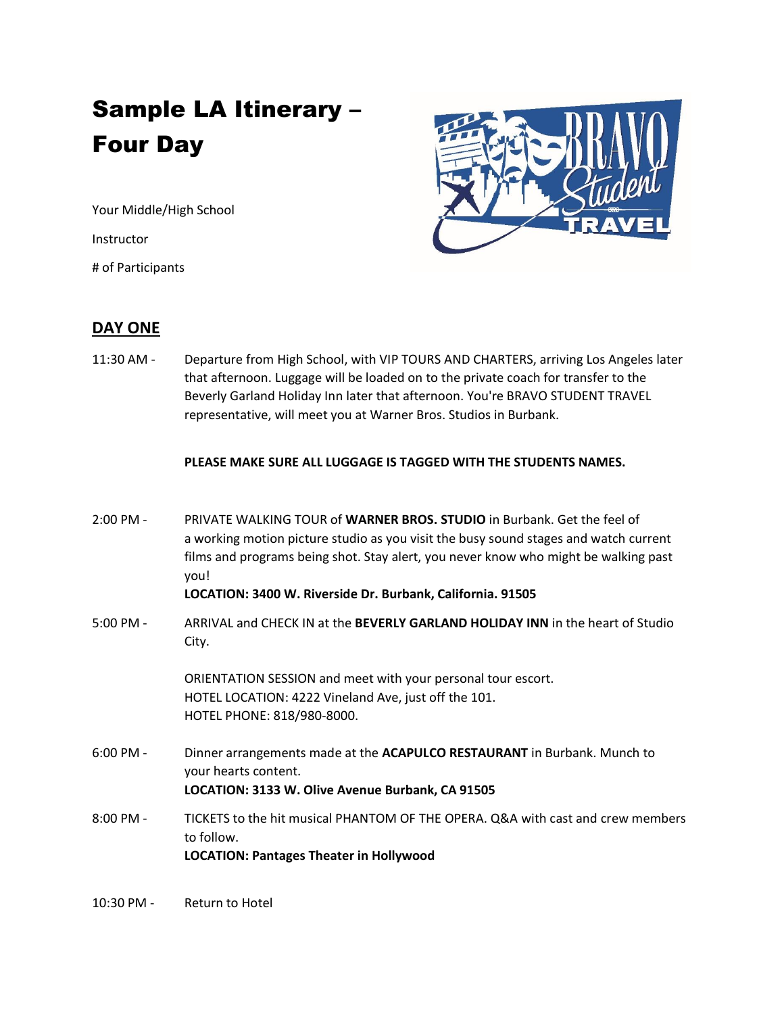# Sample LA Itinerary – Four Day

Your Middle/High School

Instructor

# of Participants



## **DAY ONE**

11:30 AM - Departure from High School, with VIP TOURS AND CHARTERS, arriving Los Angeles later that afternoon. Luggage will be loaded on to the private coach for transfer to the Beverly Garland Holiday Inn later that afternoon. You're BRAVO STUDENT TRAVEL representative, will meet you at Warner Bros. Studios in Burbank.

#### **PLEASE MAKE SURE ALL LUGGAGE IS TAGGED WITH THE STUDENTS NAMES.**

2:00 PM - PRIVATE WALKING TOUR of **WARNER BROS. STUDIO** in Burbank. Get the feel of a working motion picture studio as you visit the busy sound stages and watch current films and programs being shot. Stay alert, you never know who might be walking past you!

#### **LOCATION: 3400 W. Riverside Dr. Burbank, California. 91505**

5:00 PM - ARRIVAL and CHECK IN at the **BEVERLY GARLAND HOLIDAY INN** in the heart of Studio City.

> ORIENTATION SESSION and meet with your personal tour escort. HOTEL LOCATION: 4222 Vineland Ave, just off the 101. HOTEL PHONE: 818/980-8000.

- 6:00 PM Dinner arrangements made at the **ACAPULCO RESTAURANT** in Burbank. Munch to your hearts content. **LOCATION: 3133 W. Olive Avenue Burbank, CA 91505**
- 8:00 PM TICKETS to the hit musical PHANTOM OF THE OPERA. Q&A with cast and crew members to follow. **LOCATION: Pantages Theater in Hollywood**
- 10:30 PM Return to Hotel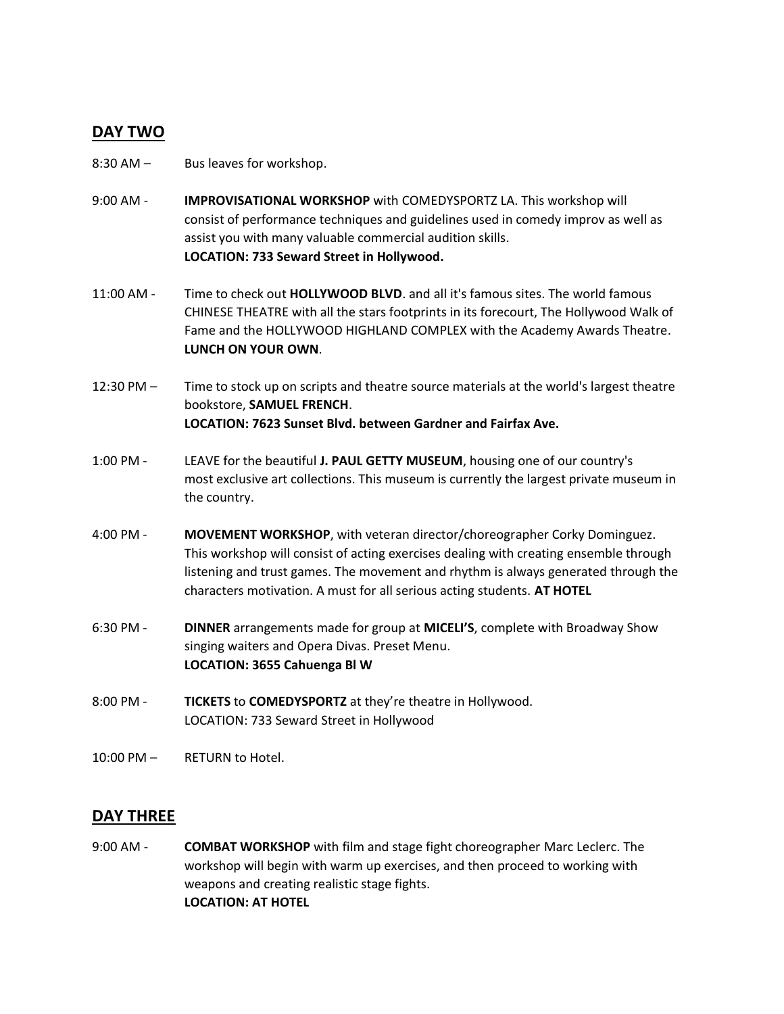# **DAY TWO**

- 8:30 AM Bus leaves for workshop.
- 9:00 AM **IMPROVISATIONAL WORKSHOP** with COMEDYSPORTZ LA. This workshop will consist of performance techniques and guidelines used in comedy improv as well as assist you with many valuable commercial audition skills. **LOCATION: 733 Seward Street in Hollywood.**
- 11:00 AM Time to check out **HOLLYWOOD BLVD**. and all it's famous sites. The world famous CHINESE THEATRE with all the stars footprints in its forecourt, The Hollywood Walk of Fame and the HOLLYWOOD HIGHLAND COMPLEX with the Academy Awards Theatre. **LUNCH ON YOUR OWN**.
- 12:30 PM Time to stock up on scripts and theatre source materials at the world's largest theatre bookstore, **SAMUEL FRENCH**. **LOCATION: 7623 Sunset Blvd. between Gardner and Fairfax Ave.**
- 1:00 PM LEAVE for the beautiful **J. PAUL GETTY MUSEUM**, housing one of our country's most exclusive art collections. This museum is currently the largest private museum in the country.
- 4:00 PM **MOVEMENT WORKSHOP**, with veteran director/choreographer Corky Dominguez. This workshop will consist of acting exercises dealing with creating ensemble through listening and trust games. The movement and rhythm is always generated through the characters motivation. A must for all serious acting students. **AT HOTEL**
- 6:30 PM **DINNER** arrangements made for group at **MICELI'S**, complete with Broadway Show singing waiters and Opera Divas. Preset Menu. **LOCATION: 3655 Cahuenga Bl W**
- 8:00 PM **TICKETS** to **COMEDYSPORTZ** at they're theatre in Hollywood. LOCATION: 733 Seward Street in Hollywood
- 10:00 PM RETURN to Hotel.

## **DAY THREE**

9:00 AM - **COMBAT WORKSHOP** with film and stage fight choreographer Marc Leclerc. The workshop will begin with warm up exercises, and then proceed to working with weapons and creating realistic stage fights. **LOCATION: AT HOTEL**